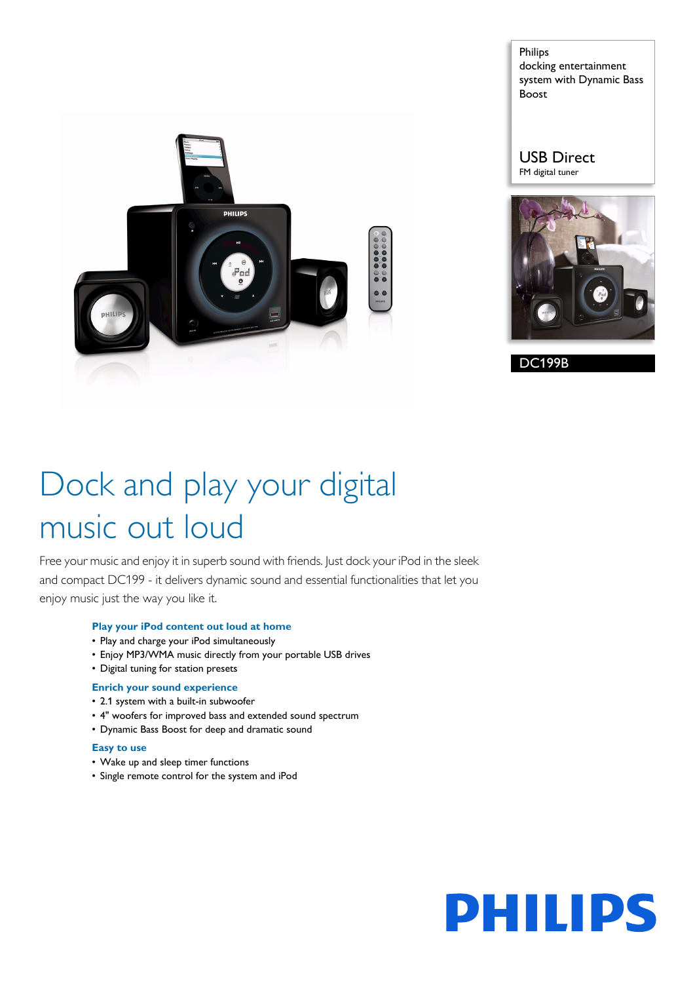

Philips docking entertainment system with Dynamic Bass Boost

USB Direct FM digital tuner



DC199B

# Dock and play your digital music out loud

Free your music and enjoy it in superb sound with friends. Just dock your iPod in the sleek and compact DC199 - it delivers dynamic sound and essential functionalities that let you enjoy music just the way you like it.

# **Play your iPod content out loud at home**

- Play and charge your iPod simultaneously
- Enjoy MP3/WMA music directly from your portable USB drives
- Digital tuning for station presets

#### **Enrich your sound experience**

- 2.1 system with a built-in subwoofer
- 4" woofers for improved bass and extended sound spectrum
- Dynamic Bass Boost for deep and dramatic sound

#### **Easy to use**

- Wake up and sleep timer functions
- Single remote control for the system and iPod

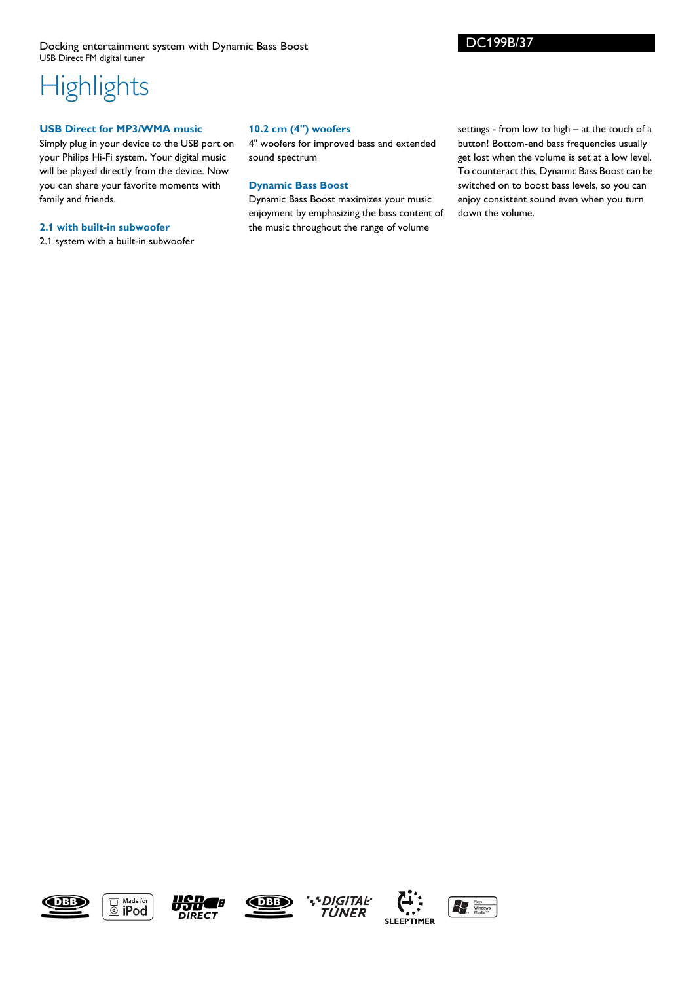Docking entertainment system with Dynamic Bass Boost USB Direct FM digital tuner

# **Highlights**

## **USB Direct for MP3/WMA music**

Simply plug in your device to the USB port on your Philips Hi-Fi system. Your digital music will be played directly from the device. Now you can share your favorite moments with family and friends.

#### **2.1 with built-in subwoofer**

2.1 system with a built-in subwoofer

## **10.2 cm (4") woofers**

4" woofers for improved bass and extended sound spectrum

## **Dynamic Bass Boost**

Dynamic Bass Boost maximizes your music enjoyment by emphasizing the bass content of the music throughout the range of volume

settings - from low to high – at the touch of a button! Bottom-end bass frequencies usually get lost when the volume is set at a low level. To counteract this, Dynamic Bass Boost can be switched on to boost bass levels, so you can enjoy consistent sound even when you turn down the volume.

DC199B/37